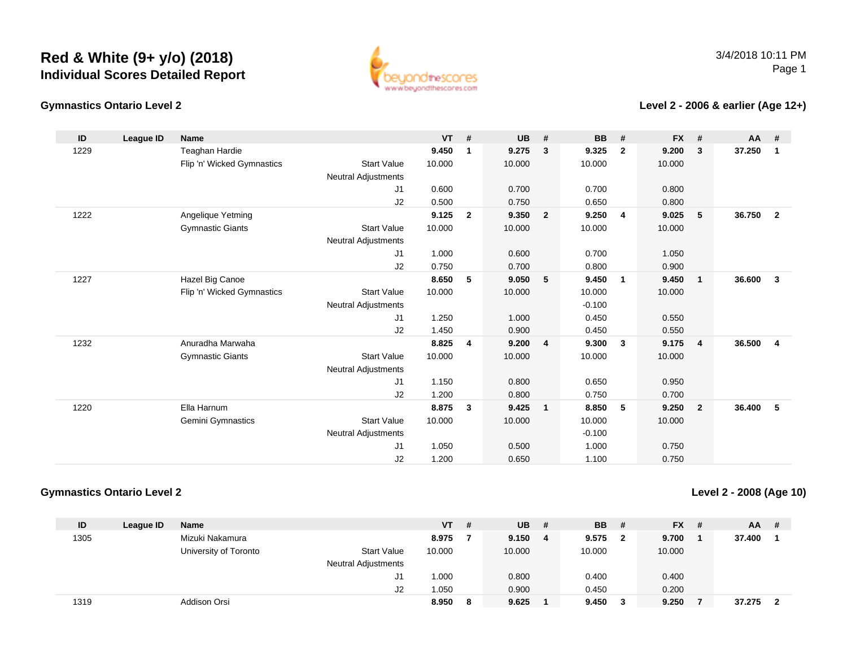

#### **Gymnastics Ontario Level 2**

**Level 2 - 2006 & earlier (Age 12+)**

| ID   | League ID | <b>Name</b>                |                            | <b>VT</b> | #              | <b>UB</b> | #                       | <b>BB</b> | #                       | <b>FX</b> | #              | <b>AA</b> | #                       |
|------|-----------|----------------------------|----------------------------|-----------|----------------|-----------|-------------------------|-----------|-------------------------|-----------|----------------|-----------|-------------------------|
| 1229 |           | <b>Teaghan Hardie</b>      |                            | 9.450     | 1              | 9.275     | $\mathbf{3}$            | 9.325     | $\overline{2}$          | 9.200     | 3              | 37.250    | 1                       |
|      |           | Flip 'n' Wicked Gymnastics | <b>Start Value</b>         | 10.000    |                | 10.000    |                         | 10.000    |                         | 10.000    |                |           |                         |
|      |           |                            | <b>Neutral Adjustments</b> |           |                |           |                         |           |                         |           |                |           |                         |
|      |           |                            | J1                         | 0.600     |                | 0.700     |                         | 0.700     |                         | 0.800     |                |           |                         |
|      |           |                            | J2                         | 0.500     |                | 0.750     |                         | 0.650     |                         | 0.800     |                |           |                         |
| 1222 |           | Angelique Yetming          |                            | 9.125     | $\mathbf{2}$   | 9.350     | $\overline{\mathbf{2}}$ | 9.250     | $\overline{\mathbf{4}}$ | 9.025     | -5             | 36.750    | $\overline{2}$          |
|      |           | <b>Gymnastic Giants</b>    | <b>Start Value</b>         | 10.000    |                | 10.000    |                         | 10.000    |                         | 10.000    |                |           |                         |
|      |           |                            | <b>Neutral Adjustments</b> |           |                |           |                         |           |                         |           |                |           |                         |
|      |           |                            | J1                         | 1.000     |                | 0.600     |                         | 0.700     |                         | 1.050     |                |           |                         |
|      |           |                            | J2                         | 0.750     |                | 0.700     |                         | 0.800     |                         | 0.900     |                |           |                         |
| 1227 |           | Hazel Big Canoe            |                            | 8.650     | 5              | 9.050     | 5                       | 9.450     | $\overline{\mathbf{1}}$ | 9.450     | $\mathbf{1}$   | 36.600    | $\mathbf{3}$            |
|      |           | Flip 'n' Wicked Gymnastics | <b>Start Value</b>         | 10.000    |                | 10.000    |                         | 10.000    |                         | 10.000    |                |           |                         |
|      |           |                            | <b>Neutral Adjustments</b> |           |                |           |                         | $-0.100$  |                         |           |                |           |                         |
|      |           |                            | J1                         | 1.250     |                | 1.000     |                         | 0.450     |                         | 0.550     |                |           |                         |
|      |           |                            | J2                         | 1.450     |                | 0.900     |                         | 0.450     |                         | 0.550     |                |           |                         |
| 1232 |           | Anuradha Marwaha           |                            | 8.825     | $\overline{4}$ | 9.200     | $\overline{4}$          | 9.300     | $\overline{\mathbf{3}}$ | 9.175     | $\overline{4}$ | 36.500    | $\overline{\mathbf{4}}$ |
|      |           | <b>Gymnastic Giants</b>    | <b>Start Value</b>         | 10.000    |                | 10.000    |                         | 10.000    |                         | 10.000    |                |           |                         |
|      |           |                            | <b>Neutral Adjustments</b> |           |                |           |                         |           |                         |           |                |           |                         |
|      |           |                            | J1                         | 1.150     |                | 0.800     |                         | 0.650     |                         | 0.950     |                |           |                         |
|      |           |                            | J2                         | 1.200     |                | 0.800     |                         | 0.750     |                         | 0.700     |                |           |                         |
| 1220 |           | Ella Harnum                |                            | 8.875     | 3              | 9.425     | $\overline{\mathbf{1}}$ | 8.850     | 5                       | 9.250     | $\overline{2}$ | 36.400    | 5                       |
|      |           | <b>Gemini Gymnastics</b>   | <b>Start Value</b>         | 10.000    |                | 10.000    |                         | 10.000    |                         | 10.000    |                |           |                         |
|      |           |                            | <b>Neutral Adjustments</b> |           |                |           |                         | $-0.100$  |                         |           |                |           |                         |
|      |           |                            | J1                         | 1.050     |                | 0.500     |                         | 1.000     |                         | 0.750     |                |           |                         |
|      |           |                            | J <sub>2</sub>             | 1.200     |                | 0.650     |                         | 1.100     |                         | 0.750     |                |           |                         |

### **Gymnastics Ontario Level 2**

**Level 2 - 2008 (Age 10)**

| ID   | League ID | <b>Name</b>           |                            | VT .   | # | <b>UB</b> | -# | <b>BB</b> | - # | <b>FX</b> | - # | AA     | -# |
|------|-----------|-----------------------|----------------------------|--------|---|-----------|----|-----------|-----|-----------|-----|--------|----|
| 1305 |           | Mizuki Nakamura       |                            | 8.975  |   | 9.150     | 4  | 9.575     |     | 9.700     |     | 37.400 |    |
|      |           | University of Toronto | <b>Start Value</b>         | 10.000 |   | 10.000    |    | 10.000    |     | 10.000    |     |        |    |
|      |           |                       | <b>Neutral Adjustments</b> |        |   |           |    |           |     |           |     |        |    |
|      |           |                       | J1                         | 1.000  |   | 0.800     |    | 0.400     |     | 0.400     |     |        |    |
|      |           |                       | J2                         | 1.050  |   | 0.900     |    | 0.450     |     | 0.200     |     |        |    |
| 1319 |           | Addison Orsi          |                            | 8.950  | 8 | 9.625     |    | 9.450     |     | 9.250     |     | 37.275 |    |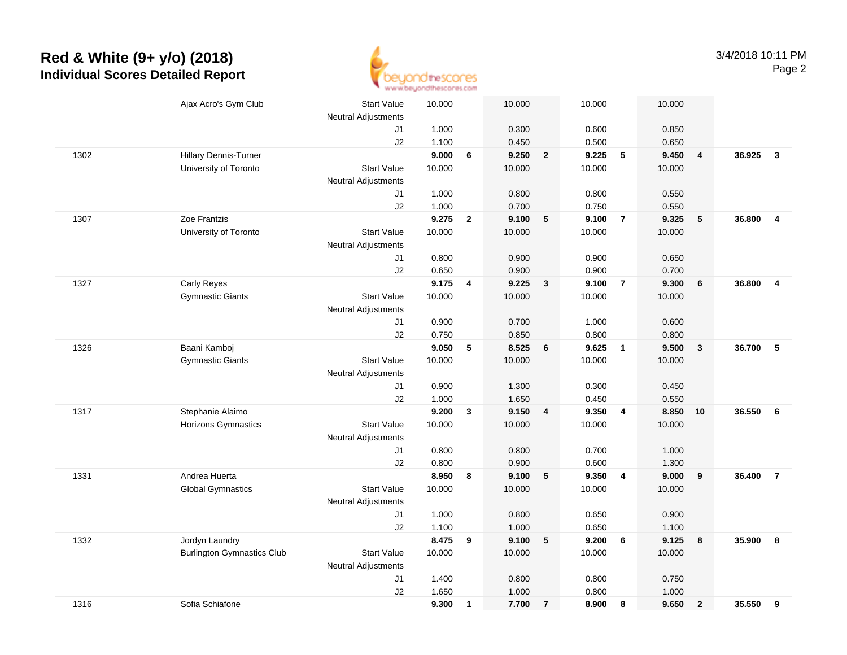

|      | Ajax Acro's Gym Club              | <b>Start Value</b>         | 10.000 |              | 10.000 |                         | 10.000 |                          | 10.000 |                         |        |                         |
|------|-----------------------------------|----------------------------|--------|--------------|--------|-------------------------|--------|--------------------------|--------|-------------------------|--------|-------------------------|
|      |                                   | <b>Neutral Adjustments</b> |        |              |        |                         |        |                          |        |                         |        |                         |
|      |                                   | J1                         | 1.000  |              | 0.300  |                         | 0.600  |                          | 0.850  |                         |        |                         |
|      |                                   | J2                         | 1.100  |              | 0.450  |                         | 0.500  |                          | 0.650  |                         |        |                         |
| 1302 | <b>Hillary Dennis-Turner</b>      |                            | 9.000  | 6            | 9.250  | $\overline{\mathbf{2}}$ | 9.225  | $\overline{\phantom{0}}$ | 9.450  | $\overline{\mathbf{4}}$ | 36.925 | $\overline{\mathbf{3}}$ |
|      | University of Toronto             | <b>Start Value</b>         | 10.000 |              | 10.000 |                         | 10.000 |                          | 10.000 |                         |        |                         |
|      |                                   | <b>Neutral Adjustments</b> |        |              |        |                         |        |                          |        |                         |        |                         |
|      |                                   | J1                         | 1.000  |              | 0.800  |                         | 0.800  |                          | 0.550  |                         |        |                         |
|      |                                   | J2                         | 1.000  |              | 0.700  |                         | 0.750  |                          | 0.550  |                         |        |                         |
| 1307 | Zoe Frantzis                      |                            | 9.275  | $\mathbf{2}$ | 9.100  | 5                       | 9.100  | $\overline{7}$           | 9.325  | ${\bf 5}$               | 36.800 | $\overline{4}$          |
|      | University of Toronto             | <b>Start Value</b>         | 10.000 |              | 10.000 |                         | 10.000 |                          | 10.000 |                         |        |                         |
|      |                                   | <b>Neutral Adjustments</b> |        |              |        |                         |        |                          |        |                         |        |                         |
|      |                                   | J1                         | 0.800  |              | 0.900  |                         | 0.900  |                          | 0.650  |                         |        |                         |
|      |                                   | J2                         | 0.650  |              | 0.900  |                         | 0.900  |                          | 0.700  |                         |        |                         |
| 1327 | Carly Reyes                       |                            | 9.175  | 4            | 9.225  | $\mathbf{3}$            | 9.100  | $\overline{7}$           | 9.300  | $\boldsymbol{6}$        | 36.800 | $\overline{4}$          |
|      | <b>Gymnastic Giants</b>           | <b>Start Value</b>         | 10.000 |              | 10.000 |                         | 10.000 |                          | 10.000 |                         |        |                         |
|      |                                   | <b>Neutral Adjustments</b> |        |              |        |                         |        |                          |        |                         |        |                         |
|      |                                   | J1                         | 0.900  |              | 0.700  |                         | 1.000  |                          | 0.600  |                         |        |                         |
|      |                                   | J2                         | 0.750  |              | 0.850  |                         | 0.800  |                          | 0.800  |                         |        |                         |
| 1326 | Baani Kamboj                      |                            | 9.050  | 5            | 8.525  | $6\phantom{1}$          | 9.625  | $\overline{\mathbf{1}}$  | 9.500  | $\overline{\mathbf{3}}$ | 36.700 | 5                       |
|      | <b>Gymnastic Giants</b>           | <b>Start Value</b>         | 10.000 |              | 10.000 |                         | 10.000 |                          | 10.000 |                         |        |                         |
|      |                                   | <b>Neutral Adjustments</b> |        |              |        |                         |        |                          |        |                         |        |                         |
|      |                                   | J1                         | 0.900  |              | 1.300  |                         | 0.300  |                          | 0.450  |                         |        |                         |
|      |                                   | J2                         | 1.000  |              | 1.650  |                         | 0.450  |                          | 0.550  |                         |        |                         |
| 1317 | Stephanie Alaimo                  |                            | 9.200  | $\mathbf{3}$ | 9.150  | 4                       | 9.350  | $\overline{4}$           | 8.850  | 10                      | 36.550 | 6                       |
|      | Horizons Gymnastics               | <b>Start Value</b>         | 10.000 |              | 10.000 |                         | 10.000 |                          | 10.000 |                         |        |                         |
|      |                                   | Neutral Adjustments        |        |              |        |                         |        |                          |        |                         |        |                         |
|      |                                   | J1                         | 0.800  |              | 0.800  |                         | 0.700  |                          | 1.000  |                         |        |                         |
|      |                                   | J2                         | 0.800  |              | 0.900  |                         | 0.600  |                          | 1.300  |                         |        |                         |
| 1331 | Andrea Huerta                     |                            | 8.950  | 8            | 9.100  | 5                       | 9.350  | $\overline{4}$           | 9.000  | 9                       | 36.400 | $\overline{7}$          |
|      | <b>Global Gymnastics</b>          | <b>Start Value</b>         | 10.000 |              | 10.000 |                         | 10.000 |                          | 10.000 |                         |        |                         |
|      |                                   | <b>Neutral Adjustments</b> |        |              |        |                         |        |                          |        |                         |        |                         |
|      |                                   | J1                         | 1.000  |              | 0.800  |                         | 0.650  |                          | 0.900  |                         |        |                         |
|      |                                   | J2                         | 1.100  |              | 1.000  |                         | 0.650  |                          | 1.100  |                         |        |                         |
| 1332 | Jordyn Laundry                    |                            | 8.475  | 9            | 9.100  | ${\bf 5}$               | 9.200  | 6                        | 9.125  | 8                       | 35.900 | 8                       |
|      | <b>Burlington Gymnastics Club</b> | <b>Start Value</b>         | 10.000 |              | 10.000 |                         | 10.000 |                          | 10.000 |                         |        |                         |
|      |                                   | Neutral Adjustments        |        |              |        |                         |        |                          |        |                         |        |                         |
|      |                                   | J1                         | 1.400  |              | 0.800  |                         | 0.800  |                          | 0.750  |                         |        |                         |
|      |                                   | J2                         | 1.650  |              | 1.000  |                         | 0.800  |                          | 1.000  |                         |        |                         |
| 1316 | Sofia Schiafone                   |                            | 9.300  | $\mathbf{1}$ | 7.700  | $\overline{7}$          | 8.900  | 8                        | 9.650  | $\overline{2}$          | 35.550 | 9                       |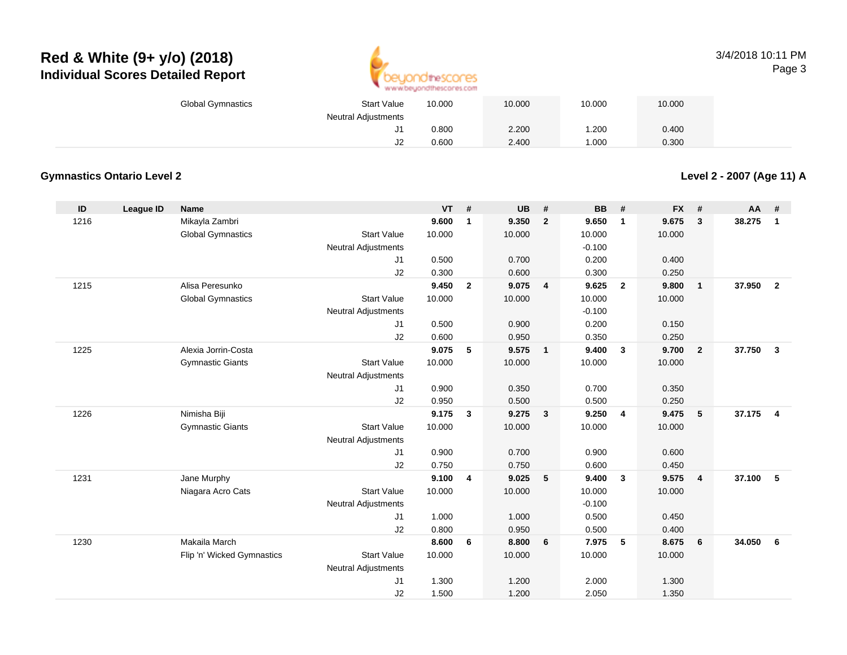

### 3/4/2018 10:11 PMPage 3

| <b>Global Gymnastics</b> | <b>Start Value</b>         | 10.000 | 10.000 | 10.000 | 10.000 |
|--------------------------|----------------------------|--------|--------|--------|--------|
|                          | <b>Neutral Adjustments</b> |        |        |        |        |
|                          |                            | 0.800  | 2.200  | .200   | 0.400  |
|                          | ےں                         | 0.600  | 2.400  | .000   | 0.300  |

### **Gymnastics Ontario Level 2**

**Level 2 - 2007 (Age 11) A**

| ID   | League ID | <b>Name</b>                |                            | VT     | #              | <b>UB</b> | #                       | <b>BB</b> | #                       | <b>FX</b> | #              | <b>AA</b> | #              |
|------|-----------|----------------------------|----------------------------|--------|----------------|-----------|-------------------------|-----------|-------------------------|-----------|----------------|-----------|----------------|
| 1216 |           | Mikayla Zambri             |                            | 9.600  | $\mathbf{1}$   | 9.350     | $\overline{2}$          | 9.650     | $\overline{\mathbf{1}}$ | 9.675     | 3              | 38.275    | $\mathbf{1}$   |
|      |           | <b>Global Gymnastics</b>   | <b>Start Value</b>         | 10.000 |                | 10.000    |                         | 10.000    |                         | 10.000    |                |           |                |
|      |           |                            | <b>Neutral Adjustments</b> |        |                |           |                         | $-0.100$  |                         |           |                |           |                |
|      |           |                            | J1                         | 0.500  |                | 0.700     |                         | 0.200     |                         | 0.400     |                |           |                |
|      |           |                            | J2                         | 0.300  |                | 0.600     |                         | 0.300     |                         | 0.250     |                |           |                |
| 1215 |           | Alisa Peresunko            |                            | 9.450  | $\overline{2}$ | 9.075     | $\overline{4}$          | 9.625     | $\overline{2}$          | 9.800     | $\mathbf{1}$   | 37.950    | $\overline{2}$ |
|      |           | <b>Global Gymnastics</b>   | <b>Start Value</b>         | 10.000 |                | 10.000    |                         | 10.000    |                         | 10.000    |                |           |                |
|      |           |                            | <b>Neutral Adjustments</b> |        |                |           |                         | $-0.100$  |                         |           |                |           |                |
|      |           |                            | J1                         | 0.500  |                | 0.900     |                         | 0.200     |                         | 0.150     |                |           |                |
|      |           |                            | J2                         | 0.600  |                | 0.950     |                         | 0.350     |                         | 0.250     |                |           |                |
| 1225 |           | Alexia Jorrin-Costa        |                            | 9.075  | 5              | 9.575     | $\overline{1}$          | 9.400     | $\mathbf{3}$            | 9.700     | $\overline{2}$ | 37.750    | $\mathbf{3}$   |
|      |           | <b>Gymnastic Giants</b>    | <b>Start Value</b>         | 10.000 |                | 10.000    |                         | 10.000    |                         | 10.000    |                |           |                |
|      |           |                            | <b>Neutral Adjustments</b> |        |                |           |                         |           |                         |           |                |           |                |
|      |           |                            | J1                         | 0.900  |                | 0.350     |                         | 0.700     |                         | 0.350     |                |           |                |
|      |           |                            | J2                         | 0.950  |                | 0.500     |                         | 0.500     |                         | 0.250     |                |           |                |
| 1226 |           | Nimisha Biji               |                            | 9.175  | 3              | 9.275     | $\overline{\mathbf{3}}$ | 9.250     | $\overline{4}$          | 9.475     | 5              | 37.175    | $\overline{4}$ |
|      |           | <b>Gymnastic Giants</b>    | <b>Start Value</b>         | 10.000 |                | 10.000    |                         | 10.000    |                         | 10.000    |                |           |                |
|      |           |                            | <b>Neutral Adjustments</b> |        |                |           |                         |           |                         |           |                |           |                |
|      |           |                            | J1                         | 0.900  |                | 0.700     |                         | 0.900     |                         | 0.600     |                |           |                |
|      |           |                            | J2                         | 0.750  |                | 0.750     |                         | 0.600     |                         | 0.450     |                |           |                |
| 1231 |           | Jane Murphy                |                            | 9.100  | 4              | 9.025     | 5                       | 9.400     | $\mathbf{3}$            | 9.575     | $\overline{4}$ | 37.100    | 5              |
|      |           | Niagara Acro Cats          | <b>Start Value</b>         | 10.000 |                | 10.000    |                         | 10.000    |                         | 10.000    |                |           |                |
|      |           |                            | <b>Neutral Adjustments</b> |        |                |           |                         | $-0.100$  |                         |           |                |           |                |
|      |           |                            | J1                         | 1.000  |                | 1.000     |                         | 0.500     |                         | 0.450     |                |           |                |
|      |           |                            | J2                         | 0.800  |                | 0.950     |                         | 0.500     |                         | 0.400     |                |           |                |
| 1230 |           | Makaila March              |                            | 8.600  | 6              | 8.800     | 6                       | 7.975     | 5                       | 8.675     | 6              | 34.050    | 6              |
|      |           | Flip 'n' Wicked Gymnastics | <b>Start Value</b>         | 10.000 |                | 10.000    |                         | 10.000    |                         | 10.000    |                |           |                |
|      |           |                            | <b>Neutral Adjustments</b> |        |                |           |                         |           |                         |           |                |           |                |
|      |           |                            | J1                         | 1.300  |                | 1.200     |                         | 2.000     |                         | 1.300     |                |           |                |
|      |           |                            | J2                         | 1.500  |                | 1.200     |                         | 2.050     |                         | 1.350     |                |           |                |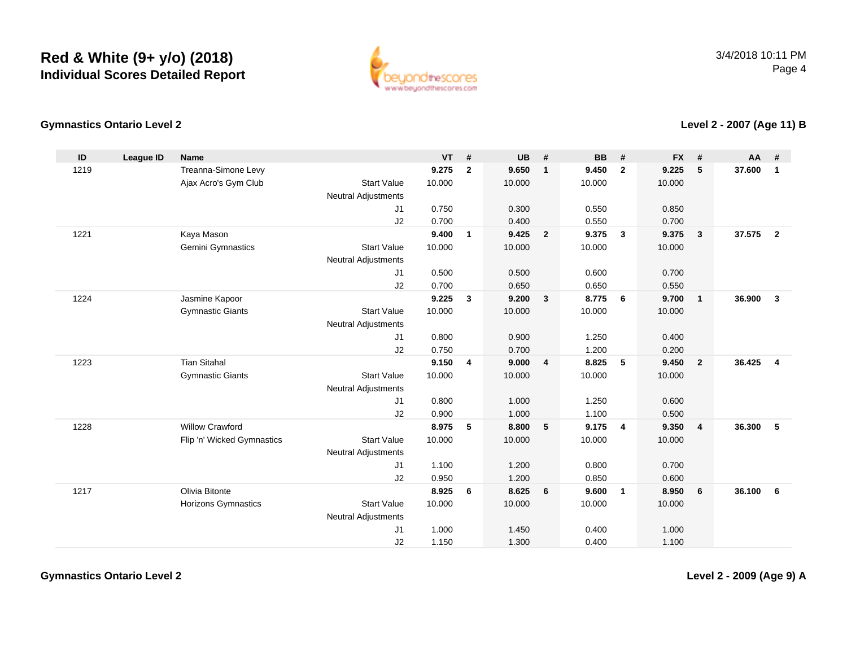

### **Gymnastics Ontario Level 2**

**Level 2 - 2007 (Age 11) B**

| ID   | <b>League ID</b> | Name                       |                            | <b>VT</b> | #                       | <b>UB</b> | #              | <b>BB</b> | #                       | <b>FX</b> | #              | AA     | #              |
|------|------------------|----------------------------|----------------------------|-----------|-------------------------|-----------|----------------|-----------|-------------------------|-----------|----------------|--------|----------------|
| 1219 |                  | Treanna-Simone Levy        |                            | 9.275     | $\overline{2}$          | 9.650     | $\mathbf{1}$   | 9.450     | $\mathbf{2}$            | 9.225     | 5              | 37.600 | $\mathbf{1}$   |
|      |                  | Ajax Acro's Gym Club       | <b>Start Value</b>         | 10.000    |                         | 10.000    |                | 10.000    |                         | 10.000    |                |        |                |
|      |                  |                            | <b>Neutral Adjustments</b> |           |                         |           |                |           |                         |           |                |        |                |
|      |                  |                            | J1                         | 0.750     |                         | 0.300     |                | 0.550     |                         | 0.850     |                |        |                |
|      |                  |                            | J2                         | 0.700     |                         | 0.400     |                | 0.550     |                         | 0.700     |                |        |                |
| 1221 |                  | Kaya Mason                 |                            | 9.400     | $\mathbf{1}$            | 9.425     | $\overline{2}$ | 9.375     | $\overline{\mathbf{3}}$ | 9.375     | $\mathbf{3}$   | 37.575 | $\overline{2}$ |
|      |                  | Gemini Gymnastics          | <b>Start Value</b>         | 10.000    |                         | 10.000    |                | 10.000    |                         | 10.000    |                |        |                |
|      |                  |                            | <b>Neutral Adjustments</b> |           |                         |           |                |           |                         |           |                |        |                |
|      |                  |                            | J1                         | 0.500     |                         | 0.500     |                | 0.600     |                         | 0.700     |                |        |                |
|      |                  |                            | J2                         | 0.700     |                         | 0.650     |                | 0.650     |                         | 0.550     |                |        |                |
| 1224 |                  | Jasmine Kapoor             |                            | 9.225     | $\mathbf{3}$            | 9.200     | $\mathbf{3}$   | 8.775     | 6                       | 9.700     | $\overline{1}$ | 36.900 | 3              |
|      |                  | <b>Gymnastic Giants</b>    | <b>Start Value</b>         | 10.000    |                         | 10.000    |                | 10.000    |                         | 10.000    |                |        |                |
|      |                  |                            | <b>Neutral Adjustments</b> |           |                         |           |                |           |                         |           |                |        |                |
|      |                  |                            | J1                         | 0.800     |                         | 0.900     |                | 1.250     |                         | 0.400     |                |        |                |
|      |                  |                            | J2                         | 0.750     |                         | 0.700     |                | 1.200     |                         | 0.200     |                |        |                |
| 1223 |                  | <b>Tian Sitahal</b>        |                            | 9.150     | $\overline{\mathbf{4}}$ | 9.000     | 4              | 8.825     | $5\phantom{.0}$         | 9.450     | $\overline{2}$ | 36.425 | $\overline{4}$ |
|      |                  | <b>Gymnastic Giants</b>    | <b>Start Value</b>         | 10.000    |                         | 10.000    |                | 10.000    |                         | 10.000    |                |        |                |
|      |                  |                            | <b>Neutral Adjustments</b> |           |                         |           |                |           |                         |           |                |        |                |
|      |                  |                            | J1                         | 0.800     |                         | 1.000     |                | 1.250     |                         | 0.600     |                |        |                |
|      |                  |                            | J2                         | 0.900     |                         | 1.000     |                | 1.100     |                         | 0.500     |                |        |                |
| 1228 |                  | <b>Willow Crawford</b>     |                            | 8.975     | 5                       | 8.800     | 5              | 9.175     | $\overline{4}$          | 9.350     | $\overline{4}$ | 36.300 | 5              |
|      |                  | Flip 'n' Wicked Gymnastics | <b>Start Value</b>         | 10.000    |                         | 10.000    |                | 10.000    |                         | 10.000    |                |        |                |
|      |                  |                            | Neutral Adjustments        |           |                         |           |                |           |                         |           |                |        |                |
|      |                  |                            | J1                         | 1.100     |                         | 1.200     |                | 0.800     |                         | 0.700     |                |        |                |
|      |                  |                            | J2                         | 0.950     |                         | 1.200     |                | 0.850     |                         | 0.600     |                |        |                |
| 1217 |                  | Olivia Bitonte             |                            | 8.925     | 6                       | 8.625     | 6              | 9.600     | $\overline{\mathbf{1}}$ | 8.950     | 6              | 36.100 | 6              |
|      |                  | Horizons Gymnastics        | <b>Start Value</b>         | 10.000    |                         | 10.000    |                | 10.000    |                         | 10.000    |                |        |                |
|      |                  |                            | Neutral Adjustments        |           |                         |           |                |           |                         |           |                |        |                |
|      |                  |                            | J1                         | 1.000     |                         | 1.450     |                | 0.400     |                         | 1.000     |                |        |                |
|      |                  |                            | J2                         | 1.150     |                         | 1.300     |                | 0.400     |                         | 1.100     |                |        |                |

**Level 2 - 2009 (Age 9) A**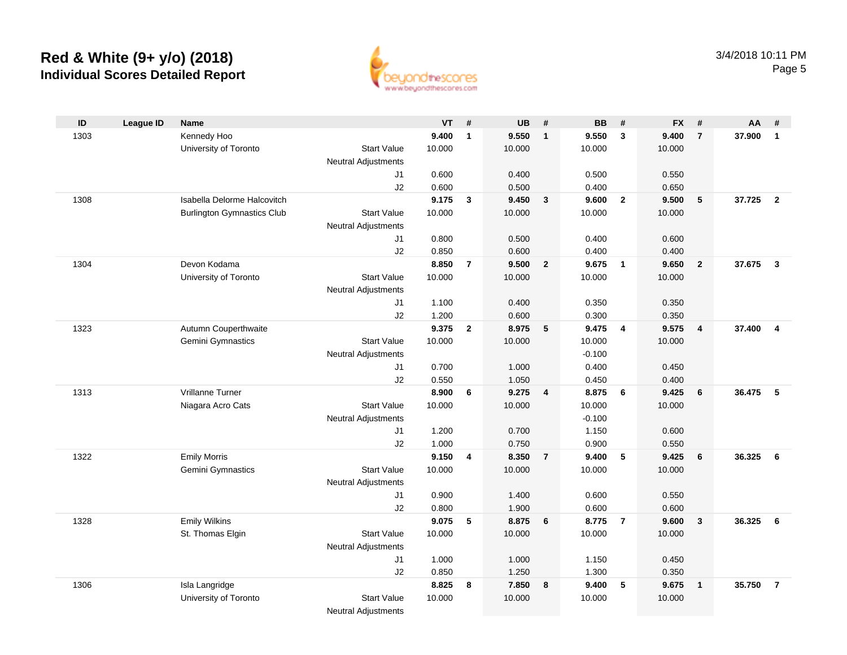

| ID   | <b>League ID</b> | <b>Name</b>                       |                            | <b>VT</b> | #              | <b>UB</b> | #                       | <b>BB</b> | #                       | <b>FX</b> | -#                      | AA     | #              |
|------|------------------|-----------------------------------|----------------------------|-----------|----------------|-----------|-------------------------|-----------|-------------------------|-----------|-------------------------|--------|----------------|
| 1303 |                  | Kennedy Hoo                       |                            | 9.400     | $\mathbf{1}$   | 9.550     | $\mathbf{1}$            | 9.550     | $\mathbf{3}$            | 9.400     | $\overline{7}$          | 37.900 | $\overline{1}$ |
|      |                  | University of Toronto             | <b>Start Value</b>         | 10.000    |                | 10.000    |                         | 10.000    |                         | 10.000    |                         |        |                |
|      |                  |                                   | <b>Neutral Adjustments</b> |           |                |           |                         |           |                         |           |                         |        |                |
|      |                  |                                   | J1                         | 0.600     |                | 0.400     |                         | 0.500     |                         | 0.550     |                         |        |                |
|      |                  |                                   | J2                         | 0.600     |                | 0.500     |                         | 0.400     |                         | 0.650     |                         |        |                |
| 1308 |                  | Isabella Delorme Halcovitch       |                            | 9.175     | $\mathbf{3}$   | 9.450     | $\mathbf{3}$            | 9.600     | $\overline{2}$          | 9.500     | 5                       | 37.725 | $\overline{2}$ |
|      |                  | <b>Burlington Gymnastics Club</b> | <b>Start Value</b>         | 10.000    |                | 10.000    |                         | 10.000    |                         | 10.000    |                         |        |                |
|      |                  |                                   | <b>Neutral Adjustments</b> |           |                |           |                         |           |                         |           |                         |        |                |
|      |                  |                                   | J1                         | 0.800     |                | 0.500     |                         | 0.400     |                         | 0.600     |                         |        |                |
|      |                  |                                   | J2                         | 0.850     |                | 0.600     |                         | 0.400     |                         | 0.400     |                         |        |                |
| 1304 |                  | Devon Kodama                      |                            | 8.850     | $\overline{7}$ | 9.500     | $\overline{2}$          | 9.675     | $\overline{\mathbf{1}}$ | 9.650     | $\overline{2}$          | 37.675 | $\mathbf{3}$   |
|      |                  | University of Toronto             | <b>Start Value</b>         | 10.000    |                | 10.000    |                         | 10.000    |                         | 10.000    |                         |        |                |
|      |                  |                                   | <b>Neutral Adjustments</b> |           |                |           |                         |           |                         |           |                         |        |                |
|      |                  |                                   | J1                         | 1.100     |                | 0.400     |                         | 0.350     |                         | 0.350     |                         |        |                |
|      |                  |                                   | J2                         | 1.200     |                | 0.600     |                         | 0.300     |                         | 0.350     |                         |        |                |
| 1323 |                  | Autumn Couperthwaite              |                            | 9.375     | $\mathbf{2}$   | 8.975     | 5                       | 9.475     | $\overline{4}$          | 9.575     | $\overline{4}$          | 37.400 | $\overline{4}$ |
|      |                  | Gemini Gymnastics                 | <b>Start Value</b>         | 10.000    |                | 10.000    |                         | 10.000    |                         | 10.000    |                         |        |                |
|      |                  |                                   | Neutral Adjustments        |           |                |           |                         | $-0.100$  |                         |           |                         |        |                |
|      |                  |                                   | J1                         | 0.700     |                | 1.000     |                         | 0.400     |                         | 0.450     |                         |        |                |
|      |                  |                                   | J2                         | 0.550     |                | 1.050     |                         | 0.450     |                         | 0.400     |                         |        |                |
| 1313 |                  | Vrillanne Turner                  |                            | 8.900     | 6              | 9.275     | $\overline{\mathbf{4}}$ | 8.875     | 6                       | 9.425     | 6                       | 36.475 | 5              |
|      |                  | Niagara Acro Cats                 | <b>Start Value</b>         | 10.000    |                | 10.000    |                         | 10.000    |                         | 10.000    |                         |        |                |
|      |                  |                                   | <b>Neutral Adjustments</b> |           |                |           |                         | $-0.100$  |                         |           |                         |        |                |
|      |                  |                                   | J1                         | 1.200     |                | 0.700     |                         | 1.150     |                         | 0.600     |                         |        |                |
|      |                  |                                   | J2                         | 1.000     |                | 0.750     |                         | 0.900     |                         | 0.550     |                         |        |                |
| 1322 |                  | <b>Emily Morris</b>               |                            | 9.150     | 4              | 8.350     | $\overline{7}$          | 9.400     | 5                       | 9.425     | 6                       | 36.325 | - 6            |
|      |                  | Gemini Gymnastics                 | <b>Start Value</b>         | 10.000    |                | 10.000    |                         | 10.000    |                         | 10.000    |                         |        |                |
|      |                  |                                   | Neutral Adjustments        |           |                |           |                         |           |                         |           |                         |        |                |
|      |                  |                                   | J1                         | 0.900     |                | 1.400     |                         | 0.600     |                         | 0.550     |                         |        |                |
|      |                  |                                   | J2                         | 0.800     |                | 1.900     |                         | 0.600     |                         | 0.600     |                         |        |                |
| 1328 |                  | <b>Emily Wilkins</b>              |                            | 9.075     | 5              | 8.875     | 6                       | 8.775     | $\overline{7}$          | 9.600     | $\overline{\mathbf{3}}$ | 36.325 | - 6            |
|      |                  | St. Thomas Elgin                  | <b>Start Value</b>         | 10.000    |                | 10.000    |                         | 10.000    |                         | 10.000    |                         |        |                |
|      |                  |                                   | <b>Neutral Adjustments</b> |           |                |           |                         |           |                         |           |                         |        |                |
|      |                  |                                   | J1                         | 1.000     |                | 1.000     |                         | 1.150     |                         | 0.450     |                         |        |                |
|      |                  |                                   | J2                         | 0.850     |                | 1.250     |                         | 1.300     |                         | 0.350     |                         |        |                |
| 1306 |                  | Isla Langridge                    |                            | 8.825     | 8              | 7.850     | 8                       | 9.400     | 5                       | 9.675     | $\overline{1}$          | 35.750 | $\overline{7}$ |
|      |                  | University of Toronto             | <b>Start Value</b>         | 10.000    |                | 10.000    |                         | 10.000    |                         | 10.000    |                         |        |                |
|      |                  |                                   | <b>Neutral Adjustments</b> |           |                |           |                         |           |                         |           |                         |        |                |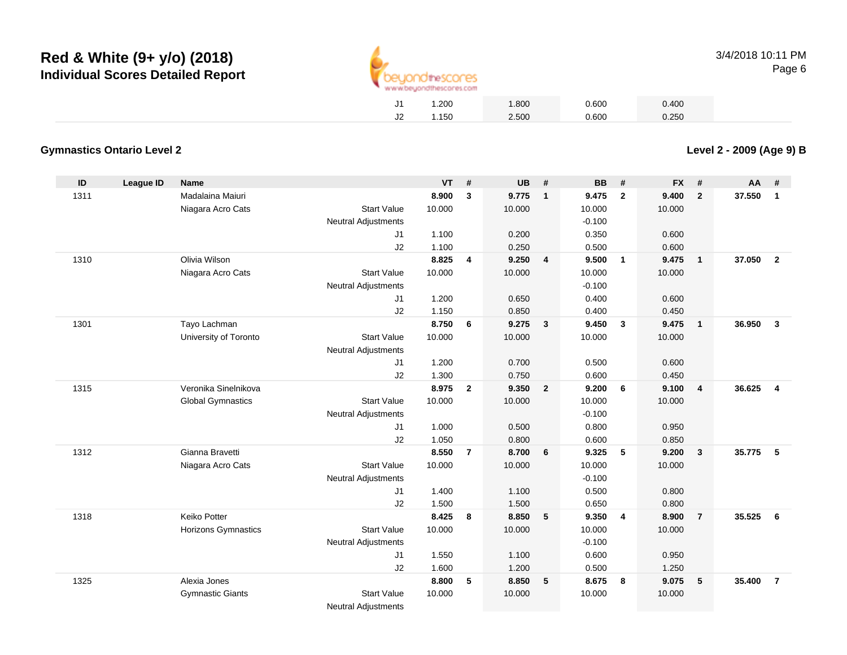

| J1 | 1.200 | 1.800 | 0.600 | 0.400 |
|----|-------|-------|-------|-------|
| J2 | 1.150 | 2.500 | 0.600 | 0.250 |

#### **Gymnastics Ontario Level 2**

**ID League ID Name VT # UB # BB # FX # AA #** 1311 Madalaina Maiuri **8.900 <sup>3</sup> 9.775 <sup>1</sup> 9.475 <sup>2</sup> 9.400 <sup>2</sup> 37.550 <sup>1</sup>** Niagara Acro Cats Start Valuee 10.000 10.000 10.000 10.000 Neutral Adjustments $-0.100$ 0.350 J1 1.100 0.200 0.350 0.600 J2 1.100 0.250 0.500 0.600 1310 Olivia Wilson **8.825 <sup>4</sup> 9.250 <sup>4</sup> 9.500 <sup>1</sup> 9.475 <sup>1</sup> 37.050 <sup>2</sup>** Niagara Acro Cats Start Valuee 10.000 10.000 10.000 10.000 Neutral Adjustments $-0.100$ 0.400 J1 1.200 0.650 0.400 0.600 J2 1.150 0.850 0.400 0.450 1301 Tayo Lachman **8.750 <sup>6</sup> 9.275 <sup>3</sup> 9.450 <sup>3</sup> 9.475 <sup>1</sup> 36.950 <sup>3</sup>** University of Toronto Start Value 10.000 10.000 10.000 10.000 Neutral Adjustments J1 1.200 0.700 0.500 0.600 J2 1.300 0.750 0.600 0.450 1315 Veronika Sinelnikova **8.975 <sup>2</sup> 9.350 <sup>2</sup> 9.200 <sup>6</sup> 9.100 <sup>4</sup> 36.625 <sup>4</sup>** Global Gymnastics Start Valuee 10.000 10.000 10.000 10.000 Neutral Adjustments $-0.100$ 0.800 J1 1.000 0.500 0.800 0.950 J2 1.050 0.800 0.600 0.850 1312 Gianna Bravetti **8.550 <sup>7</sup> 8.700 <sup>6</sup> 9.325 <sup>5</sup> 9.200 <sup>3</sup> 35.775 <sup>5</sup>** Niagara Acro Cats Start Valuee 10.000 10.000 10.000 10.000 Neutral Adjustments $-0.100$ 0.500 J1 1.400 1.100 0.500 0.800 J2 1.500 1.500 0.650 0.800 1318 Keiko Potter **8.425 <sup>8</sup> 8.850 <sup>5</sup> 9.350 <sup>4</sup> 8.900 <sup>7</sup> 35.525 <sup>6</sup>** Horizons Gymnastics Start Valuee 10.000 10.000 10.000 10.000 Neutral Adjustments $-0.100$ 0.600 J1 1.550 1.100 0.600 0.950 J2 1.600 1.200 0.500 1.250 1325 Alexia Jones **8.800 <sup>5</sup> 8.850 <sup>5</sup> 8.675 <sup>8</sup> 9.075 <sup>5</sup> 35.400 <sup>7</sup>** Gymnastic Giants Start Valuee 10.000 10.000 10.000 10.000 Neutral Adjustments

**Level 2 - 2009 (Age 9) B**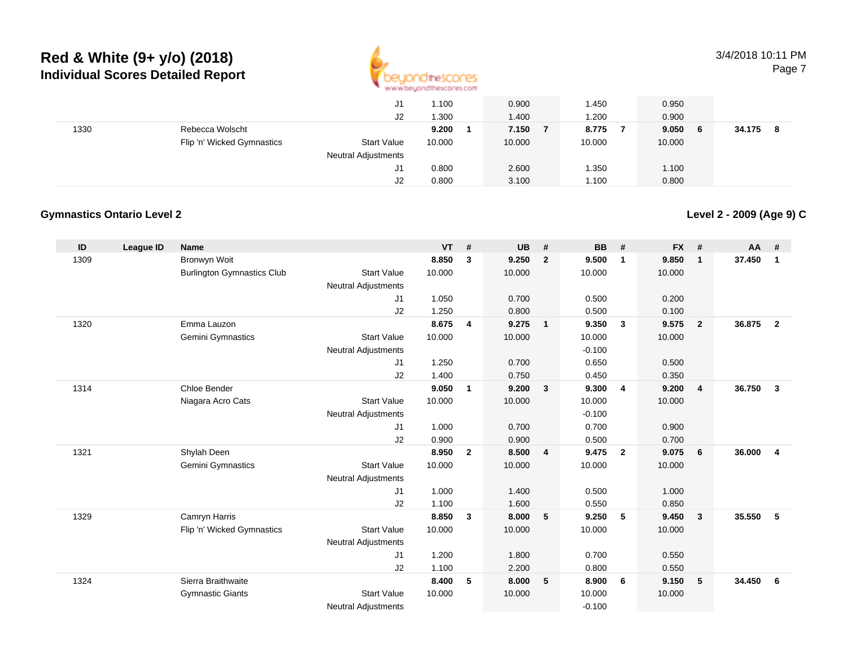

3/4/2018 10:11 PMPage 7

|      |                            | J1                         | 1.100  | 0.900  | . 450  | 0.950       |             |
|------|----------------------------|----------------------------|--------|--------|--------|-------------|-------------|
|      |                            | J2                         | 1.300  | 1.400  | .200   | 0.900       |             |
| 1330 | Rebecca Wolscht            |                            | 9.200  | 7.150  | 8.775  | 9.050<br>-6 | 34.175<br>8 |
|      | Flip 'n' Wicked Gymnastics | <b>Start Value</b>         | 10.000 | 10.000 | 10.000 | 10.000      |             |
|      |                            | <b>Neutral Adjustments</b> |        |        |        |             |             |
|      |                            | J1                         | 0.800  | 2.600  | .350   | 1.100       |             |
|      |                            | J2                         | 0.800  | 3.100  | .100،  | 0.800       |             |

#### **Gymnastics Ontario Level 2**

**Level 2 - 2009 (Age 9) C**

| ID   | League ID | <b>Name</b>                       |                            | <b>VT</b> | #              | <b>UB</b> | #                       | <b>BB</b> | #                       | <b>FX</b> | #              | <b>AA</b> | #              |
|------|-----------|-----------------------------------|----------------------------|-----------|----------------|-----------|-------------------------|-----------|-------------------------|-----------|----------------|-----------|----------------|
| 1309 |           | Bronwyn Woit                      |                            | 8.850     | 3              | 9.250     | $\overline{2}$          | 9.500     | $\overline{\mathbf{1}}$ | 9.850     | $\mathbf{1}$   | 37.450    | $\mathbf{1}$   |
|      |           | <b>Burlington Gymnastics Club</b> | <b>Start Value</b>         | 10.000    |                | 10.000    |                         | 10.000    |                         | 10.000    |                |           |                |
|      |           |                                   | <b>Neutral Adjustments</b> |           |                |           |                         |           |                         |           |                |           |                |
|      |           |                                   | J1                         | 1.050     |                | 0.700     |                         | 0.500     |                         | 0.200     |                |           |                |
|      |           |                                   | J2                         | 1.250     |                | 0.800     |                         | 0.500     |                         | 0.100     |                |           |                |
| 1320 |           | Emma Lauzon                       |                            | 8.675     | 4              | 9.275     | $\overline{1}$          | 9.350     | $\mathbf{3}$            | 9.575     | $\overline{2}$ | 36.875    | $\overline{2}$ |
|      |           | Gemini Gymnastics                 | <b>Start Value</b>         | 10.000    |                | 10.000    |                         | 10.000    |                         | 10.000    |                |           |                |
|      |           |                                   | <b>Neutral Adjustments</b> |           |                |           |                         | $-0.100$  |                         |           |                |           |                |
|      |           |                                   | J1                         | 1.250     |                | 0.700     |                         | 0.650     |                         | 0.500     |                |           |                |
|      |           |                                   | J2                         | 1.400     |                | 0.750     |                         | 0.450     |                         | 0.350     |                |           |                |
| 1314 |           | Chloe Bender                      |                            | 9.050     | $\mathbf{1}$   | 9.200     | $\overline{\mathbf{3}}$ | 9.300     | $\overline{4}$          | 9.200     | $\overline{4}$ | 36.750    | $\mathbf{3}$   |
|      |           | Niagara Acro Cats                 | <b>Start Value</b>         | 10.000    |                | 10.000    |                         | 10.000    |                         | 10.000    |                |           |                |
|      |           |                                   | <b>Neutral Adjustments</b> |           |                |           |                         | $-0.100$  |                         |           |                |           |                |
|      |           |                                   | J1                         | 1.000     |                | 0.700     |                         | 0.700     |                         | 0.900     |                |           |                |
|      |           |                                   | J2                         | 0.900     |                | 0.900     |                         | 0.500     |                         | 0.700     |                |           |                |
| 1321 |           | Shylah Deen                       |                            | 8.950     | $\overline{2}$ | 8.500     | $\overline{\mathbf{4}}$ | 9.475     | $\overline{2}$          | 9.075     | 6              | 36.000    | $\overline{4}$ |
|      |           | <b>Gemini Gymnastics</b>          | <b>Start Value</b>         | 10.000    |                | 10.000    |                         | 10.000    |                         | 10.000    |                |           |                |
|      |           |                                   | <b>Neutral Adjustments</b> |           |                |           |                         |           |                         |           |                |           |                |
|      |           |                                   | J1                         | 1.000     |                | 1.400     |                         | 0.500     |                         | 1.000     |                |           |                |
|      |           |                                   | J2                         | 1.100     |                | 1.600     |                         | 0.550     |                         | 0.850     |                |           |                |
| 1329 |           | Camryn Harris                     |                            | 8.850     | 3              | 8.000     | 5                       | 9.250     | 5                       | 9.450     | $\mathbf{3}$   | 35.550    | 5              |
|      |           | Flip 'n' Wicked Gymnastics        | <b>Start Value</b>         | 10.000    |                | 10.000    |                         | 10.000    |                         | 10.000    |                |           |                |
|      |           |                                   | <b>Neutral Adjustments</b> |           |                |           |                         |           |                         |           |                |           |                |
|      |           |                                   | J1                         | 1.200     |                | 1.800     |                         | 0.700     |                         | 0.550     |                |           |                |
|      |           |                                   | J2                         | 1.100     |                | 2.200     |                         | 0.800     |                         | 0.550     |                |           |                |
| 1324 |           | Sierra Braithwaite                |                            | 8.400     | 5              | 8.000     | 5                       | 8.900     | 6                       | 9.150     | 5              | 34.450    | 6              |
|      |           | <b>Gymnastic Giants</b>           | <b>Start Value</b>         | 10.000    |                | 10.000    |                         | 10.000    |                         | 10.000    |                |           |                |
|      |           |                                   | <b>Neutral Adjustments</b> |           |                |           |                         | $-0.100$  |                         |           |                |           |                |